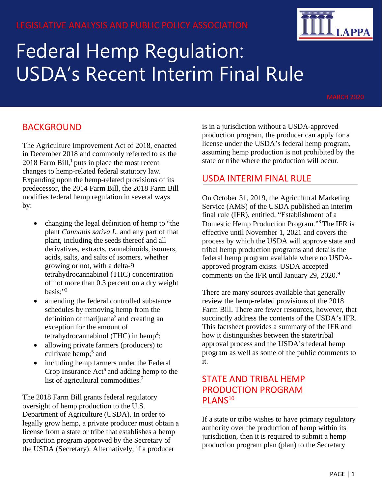# LEGISLATIVE ANALYSIS AND PUBLIC POLICY ASSOCIATION



# Federal Hemp Regulation: USDA's Recent Interim Final Rule

#### BACKGROUND

The Agriculture Improvement Act of 2018, enacted in December 2018 and commonly referred to as the  $2018$  $2018$  $2018$  Farm Bill,<sup>1</sup> puts in place the most recent changes to hemp-related federal statutory law. Expanding upon the hemp-related provisions of its predecessor, the 2014 Farm Bill, the 2018 Farm Bill modifies federal hemp regulation in several ways by:

- changing the legal definition of hemp to "the plant *Cannabis sativa L.* and any part of that plant, including the seeds thereof and all derivatives, extracts, cannabinoids, isomers, acids, salts, and salts of isomers, whether growing or not, with a delta-9 tetrahydrocannabinol (THC) concentration of not more than 0.3 percent on a dry weight basis: $"^{2}$
- amending the federal controlled substance schedules by removing hemp from the definition of marijuana<sup>3</sup> and creating an exception for the amount of tetrahydrocannabinol (THC) in hemp<sup>[4](#page-4-2)</sup>;
- allowing private farmers (producers) to cultivate hemp; $5$  and
- including hemp farmers under the Federal Crop Insurance  $Act<sup>6</sup>$  $Act<sup>6</sup>$  $Act<sup>6</sup>$  and adding hemp to the list of agricultural commodities.<sup>[7](#page-4-5)</sup>

The 2018 Farm Bill grants federal regulatory oversight of hemp production to the U.S. Department of Agriculture (USDA). In order to legally grow hemp, a private producer must obtain a license from a state or tribe that establishes a hemp production program approved by the Secretary of the USDA (Secretary). Alternatively, if a producer

is in a jurisdiction without a USDA-approved production program, the producer can apply for a license under the USDA's federal hemp program, assuming hemp production is not prohibited by the state or tribe where the production will occur.

#### USDA INTERIM FINAL RULE

On October 31, 2019, the Agricultural Marketing Service (AMS) of the USDA published an interim final rule (IFR), entitled, "Establishment of a Domestic Hemp Production Program.["8](#page-4-5) The IFR is effective until November 1, 2021 and covers the process by which the USDA will approve state and tribal hemp production programs and details the federal hemp program available where no USDAapproved program exists. USDA accepted comments on the IFR until January 2[9](#page-4-6), 2020.<sup>9</sup>

There are many sources available that generally review the hemp-related provisions of the 2018 Farm Bill. There are fewer resources, however, that succinctly address the contents of the USDA's IFR. This factsheet provides a summary of the IFR and how it distinguishes between the state/tribal approval process and the USDA's federal hemp program as well as some of the public comments to it.

#### STATE AND TRIBAL HEMP PRODUCTION PROGRAM PLANS<sup>10</sup>

If a state or tribe wishes to have primary regulatory authority over the production of hemp within its jurisdiction, then it is required to submit a hemp production program plan (plan) to the Secretary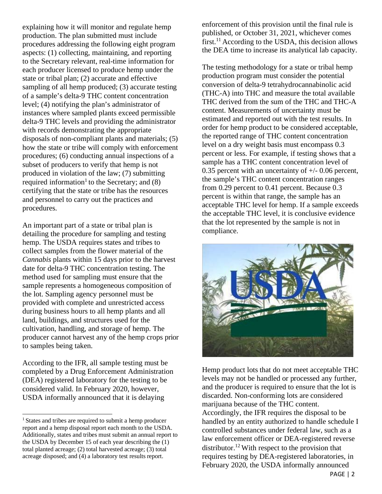explaining how it will monitor and regulate hemp production. The plan submitted must include procedures addressing the following eight program aspects: (1) collecting, maintaining, and reporting to the Secretary relevant, real-time information for each producer licensed to produce hemp under the state or tribal plan; (2) accurate and effective sampling of all hemp produced; (3) accurate testing of a sample's delta-9 THC content concentration level; (4) notifying the plan's administrator of instances where sampled plants exceed permissible delta-9 THC levels and providing the administrator with records demonstrating the appropriate disposals of non-compliant plants and materials; (5) how the state or tribe will comply with enforcement procedures; (6) conducting annual inspections of a subset of producers to verify that hemp is not produced in violation of the law; (7) submitting required information<sup>1</sup> to the Secretary; and  $(8)$ certifying that the state or tribe has the resources and personnel to carry out the practices and procedures.

An important part of a state or tribal plan is detailing the procedure for sampling and testing hemp. The USDA requires states and tribes to collect samples from the flower material of the *Cannabis* plants within 15 days prior to the harvest date for delta-9 THC concentration testing. The method used for sampling must ensure that the sample represents a homogeneous composition of the lot. Sampling agency personnel must be provided with complete and unrestricted access during business hours to all hemp plants and all land, buildings, and structures used for the cultivation, handling, and storage of hemp. The producer cannot harvest any of the hemp crops prior to samples being taken.

According to the IFR, all sample testing must be completed by a Drug Enforcement Administration (DEA) registered laboratory for the testing to be considered valid. In February 2020, however, USDA informally announced that it is delaying

enforcement of this provision until the final rule is published, or October 31, 2021, whichever comes first.<sup>[11](#page-4-7)</sup> According to the USDA, this decision allows the DEA time to increase its analytical lab capacity.

The testing methodology for a state or tribal hemp production program must consider the potential conversion of delta-9 tetrahydrocannabinolic acid (THC-A) into THC and measure the total available THC derived from the sum of the THC and THC-A content. Measurements of uncertainty must be estimated and reported out with the test results. In order for hemp product to be considered acceptable, the reported range of THC content concentration level on a dry weight basis must encompass 0.3 percent or less. For example, if testing shows that a sample has a THC content concentration level of 0.35 percent with an uncertainty of  $+/-$  0.06 percent, the sample's THC content concentration ranges from 0.29 percent to 0.41 percent. Because 0.3 percent is within that range, the sample has an acceptable THC level for hemp. If a sample exceeds the acceptable THC level, it is conclusive evidence that the lot represented by the sample is not in compliance.



Hemp product lots that do not meet acceptable THC levels may not be handled or processed any further, and the producer is required to ensure that the lot is discarded. Non-conforming lots are considered marijuana because of the THC content. Accordingly, the IFR requires the disposal to be handled by an entity authorized to handle schedule I controlled substances under federal law, such as a law enforcement officer or DEA-registered reverse distributor.<sup>12</sup> With respect to the provision that requires testing by DEA-registered laboratories, in February 2020, the USDA informally announced

<span id="page-1-0"></span><sup>1</sup> States and tribes are required to submit a hemp producer report and a hemp disposal report each month to the USDA. Additionally, states and tribes must submit an annual report to the USDA by December 15 of each year describing the (1) total planted acreage; (2) total harvested acreage; (3) total acreage disposed; and (4) a laboratory test results report.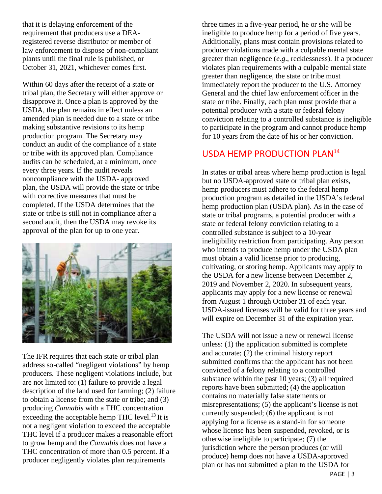that it is delaying enforcement of the requirement that producers use a DEAregistered reverse distributor or member of law enforcement to dispose of non-compliant plants until the final rule is published, or October 31, 2021, whichever comes first.

Within 60 days after the receipt of a state or tribal plan, the Secretary will either approve or disapprove it. Once a plan is approved by the USDA, the plan remains in effect unless an amended plan is needed due to a state or tribe making substantive revisions to its hemp production program. The Secretary may conduct an audit of the compliance of a state or tribe with its approved plan. Compliance audits can be scheduled, at a minimum, once every three years. If the audit reveals noncompliance with the USDA- approved plan, the USDA will provide the state or tribe with corrective measures that must be completed. If the USDA determines that the state or tribe is still not in compliance after a second audit, then the USDA may revoke its approval of the plan for up to one year.



The IFR requires that each state or tribal plan address so-called "negligent violations" by hemp producers. These negligent violations include, but are not limited to: (1) failure to provide a legal description of the land used for farming; (2) failure to obtain a license from the state or tribe; and (3) producing *Cannabis* with a THC concentration exceeding the acceptable hemp THC level.<sup>13</sup> It is not a negligent violation to exceed the acceptable THC level if a producer makes a reasonable effort to grow hemp and the *Cannabis* does not have a THC concentration of more than 0.5 percent. If a producer negligently violates plan requirements

three times in a five-year period, he or she will be ineligible to produce hemp for a period of five years. Additionally, plans must contain provisions related to producer violations made with a culpable mental state greater than negligence (*e.g*., recklessness). If a producer violates plan requirements with a culpable mental state greater than negligence, the state or tribe must immediately report the producer to the U.S. Attorney General and the chief law enforcement officer in the state or tribe. Finally, each plan must provide that a potential producer with a state or federal felony conviction relating to a controlled substance is ineligible to participate in the program and cannot produce hemp for 10 years from the date of his or her conviction.

#### USDA HEMP PRODUCTION PLA[N14](#page-4-10)

In states or tribal areas where hemp production is legal but no USDA-approved state or tribal plan exists, hemp producers must adhere to the federal hemp production program as detailed in the USDA's federal hemp production plan (USDA plan). As in the case of state or tribal programs, a potential producer with a state or federal felony conviction relating to a controlled substance is subject to a 10-year ineligibility restriction from participating. Any person who intends to produce hemp under the USDA plan must obtain a valid license prior to producing, cultivating, or storing hemp. Applicants may apply to the USDA for a new license between December 2, 2019 and November 2, 2020. In subsequent years, applicants may apply for a new license or renewal from August 1 through October 31 of each year. USDA-issued licenses will be valid for three years and will expire on December 31 of the expiration year.

The USDA will not issue a new or renewal license unless: (1) the application submitted is complete and accurate; (2) the criminal history report submitted confirms that the applicant has not been convicted of a felony relating to a controlled substance within the past 10 years; (3) all required reports have been submitted; (4) the application contains no materially false statements or misrepresentations; (5) the applicant's license is not currently suspended; (6) the applicant is not applying for a license as a stand-in for someone whose license has been suspended, revoked, or is otherwise ineligible to participate; (7) the jurisdiction where the person produces (or will produce) hemp does not have a USDA-approved plan or has not submitted a plan to the USDA for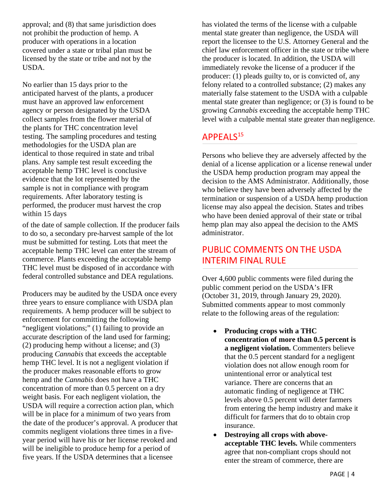approval; and (8) that same jurisdiction does not prohibit the production of hemp. A producer with operations in a location covered under a state or tribal plan must be licensed by the state or tribe and not by the USDA.

No earlier than 15 days prior to the anticipated harvest of the plants, a producer must have an approved law enforcement agency or person designated by the USDA collect samples from the flower material of the plants for THC concentration level testing. The sampling procedures and testing methodologies for the USDA plan are identical to those required in state and tribal plans. Any sample test result exceeding the acceptable hemp THC level is conclusive evidence that the lot represented by the sample is not in compliance with program requirements. After laboratory testing is performed, the producer must harvest the crop within 15 days

of the date of sample collection. If the producer fails to do so, a secondary pre-harvest sample of the lot must be submitted for testing. Lots that meet the acceptable hemp THC level can enter the stream of commerce. Plants exceeding the acceptable hemp THC level must be disposed of in accordance with federal controlled substance and DEA regulations.

Producers may be audited by the USDA once every three years to ensure compliance with USDA plan requirements. A hemp producer will be subject to enforcement for committing the following "negligent violations;" (1) failing to provide an accurate description of the land used for farming; (2) producing hemp without a license; and (3) producing *Cannabis* that exceeds the acceptable hemp THC level. It is not a negligent violation if the producer makes reasonable efforts to grow hemp and the *Cannabis* does not have a THC concentration of more than 0.5 percent on a dry weight basis. For each negligent violation, the USDA will require a correction action plan, which will be in place for a minimum of two years from the date of the producer's approval. A producer that commits negligent violations three times in a fiveyear period will have his or her license revoked and will be ineligible to produce hemp for a period of five years. If the USDA determines that a licensee

has violated the terms of the license with a culpable mental state greater than negligence, the USDA will report the licensee to the U.S. Attorney General and the chief law enforcement officer in the state or tribe where the producer is located. In addition, the USDA will immediately revoke the license of a producer if the producer: (1) pleads guilty to, or is convicted of, any felony related to a controlled substance; (2) makes any materially false statement to the USDA with a culpable mental state greater than negligence; or (3) is found to be growing *Cannabis* exceeding the acceptable hemp THC level with a culpable mental state greater than negligence.

#### APPEALS<sup>15</sup>

Persons who believe they are adversely affected by the denial of a license application or a license renewal under the USDA hemp production program may appeal the decision to the AMS Administrator. Additionally, those who believe they have been adversely affected by the termination or suspension of a USDA hemp production license may also appeal the decision. States and tribes who have been denied approval of their state or tribal hemp plan may also appeal the decision to the AMS administrator.

# PUBLIC COMMENTS ON THE USDA INTERIM FINAL RULE

Over 4,600 public comments were filed during the public comment period on the USDA's IFR (October 31, 2019, through January 29, 2020). Submitted comments appear to most commonly relate to the following areas of the regulation:

- **Producing crops with a THC concentration of more than 0.5 percent is a negligent violation.** Commenters believe that the 0.5 percent standard for a negligent violation does not allow enough room for unintentional error or analytical test variance. There are concerns that an automatic finding of negligence at THC levels above 0.5 percent will deter farmers from entering the hemp industry and make it difficult for farmers that do to obtain crop insurance.
- **Destroying all crops with aboveacceptable THC levels.** While commenters agree that non-compliant crops should not enter the stream of commerce, there are